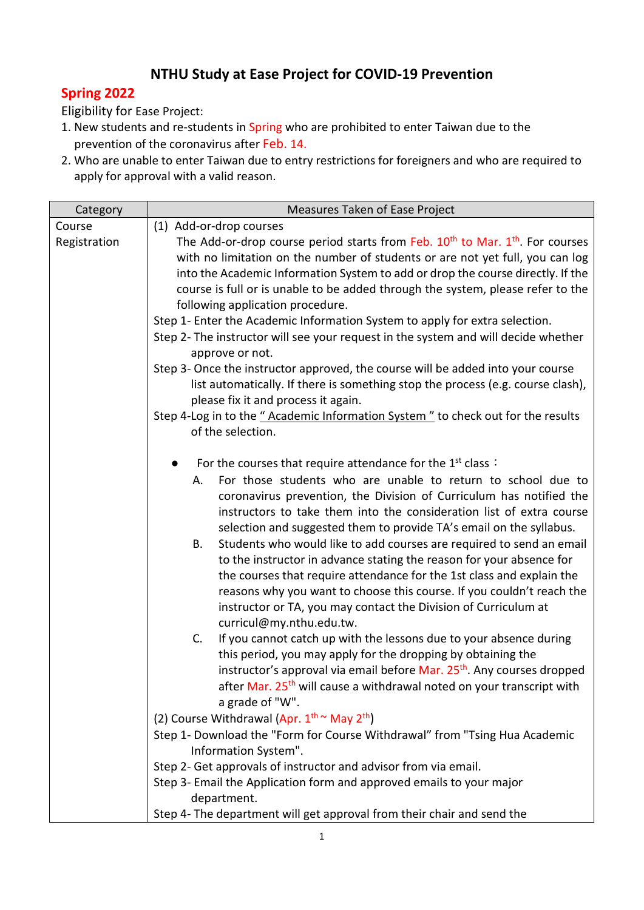## **NTHU Study at Ease Project for COVID-19 Prevention**

## **Spring 2022**

Eligibility for Ease Project:

- 1. New students and re-students in Spring who are prohibited to enter Taiwan due to the prevention of the coronavirus after Feb. 14.
- 2. Who are unable to enter Taiwan due to entry restrictions for foreigners and who are required to apply for approval with a valid reason.

| Category     | Measures Taken of Ease Project                                                                        |
|--------------|-------------------------------------------------------------------------------------------------------|
| Course       | (1) Add-or-drop courses                                                                               |
| Registration | The Add-or-drop course period starts from Feb. 10 <sup>th</sup> to Mar. 1 <sup>th</sup> . For courses |
|              | with no limitation on the number of students or are not yet full, you can log                         |
|              | into the Academic Information System to add or drop the course directly. If the                       |
|              | course is full or is unable to be added through the system, please refer to the                       |
|              | following application procedure.                                                                      |
|              | Step 1- Enter the Academic Information System to apply for extra selection.                           |
|              | Step 2- The instructor will see your request in the system and will decide whether<br>approve or not. |
|              | Step 3- Once the instructor approved, the course will be added into your course                       |
|              | list automatically. If there is something stop the process (e.g. course clash),                       |
|              | please fix it and process it again.                                                                   |
|              | Step 4-Log in to the "Academic Information System" to check out for the results                       |
|              | of the selection.                                                                                     |
|              | For the courses that require attendance for the $1^{st}$ class:                                       |
|              | For those students who are unable to return to school due to<br>А.                                    |
|              | coronavirus prevention, the Division of Curriculum has notified the                                   |
|              | instructors to take them into the consideration list of extra course                                  |
|              | selection and suggested them to provide TA's email on the syllabus.                                   |
|              | Students who would like to add courses are required to send an email<br>В.                            |
|              | to the instructor in advance stating the reason for your absence for                                  |
|              | the courses that require attendance for the 1st class and explain the                                 |
|              | reasons why you want to choose this course. If you couldn't reach the                                 |
|              | instructor or TA, you may contact the Division of Curriculum at                                       |
|              | curricul@my.nthu.edu.tw.                                                                              |
|              | If you cannot catch up with the lessons due to your absence during<br>C.                              |
|              | this period, you may apply for the dropping by obtaining the                                          |
|              | instructor's approval via email before Mar. 25 <sup>th</sup> . Any courses dropped                    |
|              | after Mar. 25 <sup>th</sup> will cause a withdrawal noted on your transcript with                     |
|              | a grade of "W".                                                                                       |
|              | (2) Course Withdrawal (Apr. $1^{\text{th}} \sim$ May $2^{\text{th}}$ )                                |
|              | Step 1- Download the "Form for Course Withdrawal" from "Tsing Hua Academic                            |
|              | Information System".                                                                                  |
|              | Step 2- Get approvals of instructor and advisor from via email.                                       |
|              | Step 3- Email the Application form and approved emails to your major                                  |
|              | department.                                                                                           |
|              | Step 4- The department will get approval from their chair and send the                                |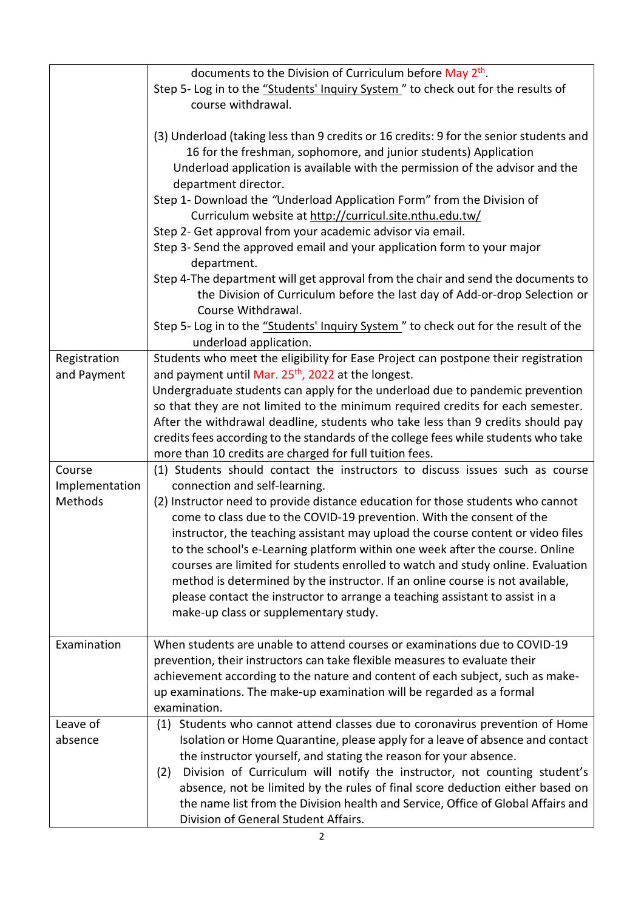|                | documents to the Division of Curriculum before May 2 <sup>th</sup> .                   |
|----------------|----------------------------------------------------------------------------------------|
|                | Step 5- Log in to the "Students' Inquiry System" to check out for the results of       |
|                | course withdrawal.                                                                     |
|                |                                                                                        |
|                | (3) Underload (taking less than 9 credits or 16 credits: 9 for the senior students and |
|                |                                                                                        |
|                | 16 for the freshman, sophomore, and junior students) Application                       |
|                | Underload application is available with the permission of the advisor and the          |
|                | department director.                                                                   |
|                | Step 1- Download the "Underload Application Form" from the Division of                 |
|                | Curriculum website at http://curricul.site.nthu.edu.tw/                                |
|                | Step 2- Get approval from your academic advisor via email.                             |
|                | Step 3- Send the approved email and your application form to your major                |
|                | department.                                                                            |
|                | Step 4-The department will get approval from the chair and send the documents to       |
|                | the Division of Curriculum before the last day of Add-or-drop Selection or             |
|                | Course Withdrawal.                                                                     |
|                | Step 5- Log in to the "Students' Inquiry System" to check out for the result of the    |
|                | underload application.                                                                 |
| Registration   | Students who meet the eligibility for Ease Project can postpone their registration     |
| and Payment    | and payment until Mar. 25 <sup>th</sup> , 2022 at the longest.                         |
|                | Undergraduate students can apply for the underload due to pandemic prevention          |
|                | so that they are not limited to the minimum required credits for each semester.        |
|                | After the withdrawal deadline, students who take less than 9 credits should pay        |
|                | credits fees according to the standards of the college fees while students who take    |
|                | more than 10 credits are charged for full tuition fees.                                |
| Course         | (1) Students should contact the instructors to discuss issues such as course           |
| Implementation | connection and self-learning.                                                          |
| Methods        | (2) Instructor need to provide distance education for those students who cannot        |
|                | come to class due to the COVID-19 prevention. With the consent of the                  |
|                | instructor, the teaching assistant may upload the course content or video files        |
|                | to the school's e-Learning platform within one week after the course. Online           |
|                | courses are limited for students enrolled to watch and study online. Evaluation        |
|                | method is determined by the instructor. If an online course is not available,          |
|                | please contact the instructor to arrange a teaching assistant to assist in a           |
|                | make-up class or supplementary study.                                                  |
|                |                                                                                        |
| Examination    | When students are unable to attend courses or examinations due to COVID-19             |
|                | prevention, their instructors can take flexible measures to evaluate their             |
|                | achievement according to the nature and content of each subject, such as make-         |
|                | up examinations. The make-up examination will be regarded as a formal                  |
|                | examination.                                                                           |
| Leave of       | Students who cannot attend classes due to coronavirus prevention of Home<br>(1)        |
| absence        | Isolation or Home Quarantine, please apply for a leave of absence and contact          |
|                | the instructor yourself, and stating the reason for your absence.                      |
|                | Division of Curriculum will notify the instructor, not counting student's<br>(2)       |
|                | absence, not be limited by the rules of final score deduction either based on          |
|                | the name list from the Division health and Service, Office of Global Affairs and       |
|                | Division of General Student Affairs.                                                   |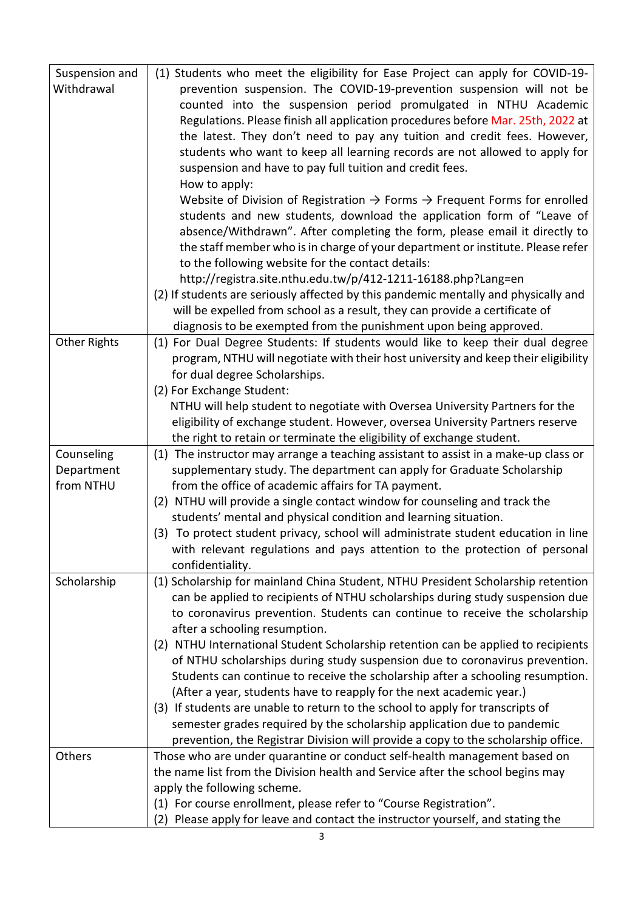| Suspension and          | (1) Students who meet the eligibility for Ease Project can apply for COVID-19-                                                                       |
|-------------------------|------------------------------------------------------------------------------------------------------------------------------------------------------|
| Withdrawal              | prevention suspension. The COVID-19-prevention suspension will not be                                                                                |
|                         | counted into the suspension period promulgated in NTHU Academic                                                                                      |
|                         | Regulations. Please finish all application procedures before Mar. 25th, 2022 at                                                                      |
|                         | the latest. They don't need to pay any tuition and credit fees. However,                                                                             |
|                         | students who want to keep all learning records are not allowed to apply for                                                                          |
|                         | suspension and have to pay full tuition and credit fees.                                                                                             |
|                         | How to apply:                                                                                                                                        |
|                         | Website of Division of Registration $\rightarrow$ Forms $\rightarrow$ Frequent Forms for enrolled                                                    |
|                         | students and new students, download the application form of "Leave of                                                                                |
|                         | absence/Withdrawn". After completing the form, please email it directly to                                                                           |
|                         | the staff member who is in charge of your department or institute. Please refer                                                                      |
|                         | to the following website for the contact details:                                                                                                    |
|                         | http://registra.site.nthu.edu.tw/p/412-1211-16188.php?Lang=en                                                                                        |
|                         | (2) If students are seriously affected by this pandemic mentally and physically and                                                                  |
|                         | will be expelled from school as a result, they can provide a certificate of                                                                          |
|                         | diagnosis to be exempted from the punishment upon being approved.                                                                                    |
| <b>Other Rights</b>     | (1) For Dual Degree Students: If students would like to keep their dual degree                                                                       |
|                         | program, NTHU will negotiate with their host university and keep their eligibility                                                                   |
|                         | for dual degree Scholarships.                                                                                                                        |
|                         | (2) For Exchange Student:                                                                                                                            |
|                         | NTHU will help student to negotiate with Oversea University Partners for the                                                                         |
|                         | eligibility of exchange student. However, oversea University Partners reserve                                                                        |
|                         | the right to retain or terminate the eligibility of exchange student.                                                                                |
| Counseling              | (1) The instructor may arrange a teaching assistant to assist in a make-up class or                                                                  |
| Department<br>from NTHU | supplementary study. The department can apply for Graduate Scholarship<br>from the office of academic affairs for TA payment.                        |
|                         | (2) NTHU will provide a single contact window for counseling and track the                                                                           |
|                         | students' mental and physical condition and learning situation.                                                                                      |
|                         | (3) To protect student privacy, school will administrate student education in line                                                                   |
|                         | with relevant regulations and pays attention to the protection of personal                                                                           |
|                         | confidentiality.                                                                                                                                     |
| Scholarship             | (1) Scholarship for mainland China Student, NTHU President Scholarship retention                                                                     |
|                         | can be applied to recipients of NTHU scholarships during study suspension due                                                                        |
|                         | to coronavirus prevention. Students can continue to receive the scholarship                                                                          |
|                         | after a schooling resumption.                                                                                                                        |
|                         | (2) NTHU International Student Scholarship retention can be applied to recipients                                                                    |
|                         | of NTHU scholarships during study suspension due to coronavirus prevention.                                                                          |
|                         | Students can continue to receive the scholarship after a schooling resumption.                                                                       |
|                         | (After a year, students have to reapply for the next academic year.)                                                                                 |
|                         | (3) If students are unable to return to the school to apply for transcripts of                                                                       |
|                         | semester grades required by the scholarship application due to pandemic                                                                              |
|                         | prevention, the Registrar Division will provide a copy to the scholarship office.                                                                    |
| Others                  | Those who are under quarantine or conduct self-health management based on                                                                            |
|                         | the name list from the Division health and Service after the school begins may                                                                       |
|                         | apply the following scheme.                                                                                                                          |
|                         | (1) For course enrollment, please refer to "Course Registration".<br>(2) Please apply for leave and contact the instructor yourself, and stating the |
|                         |                                                                                                                                                      |